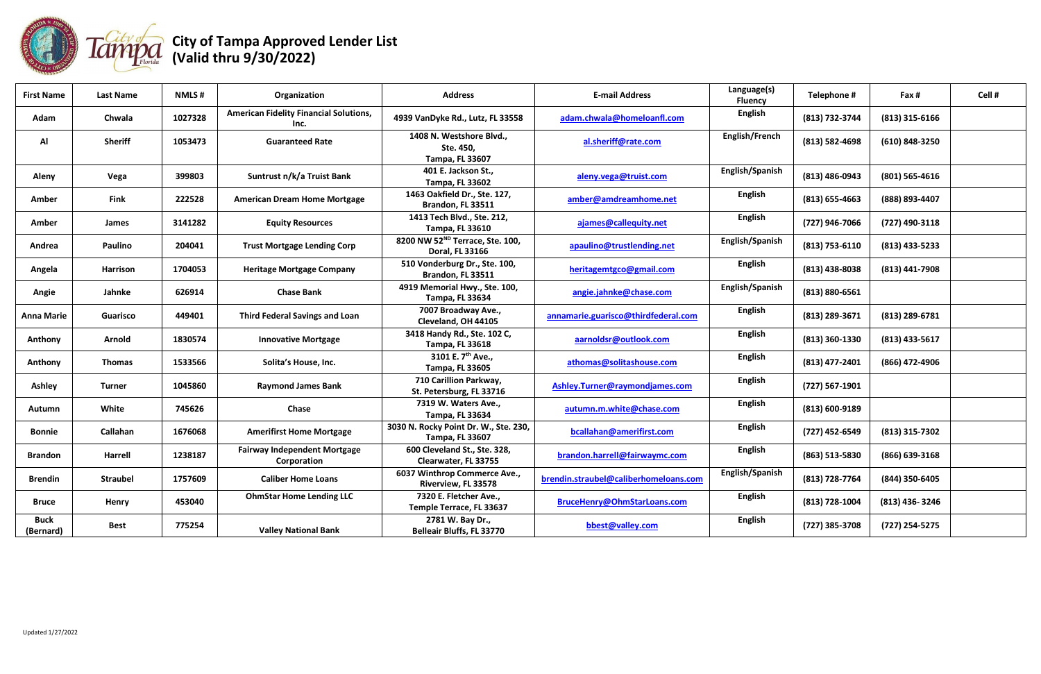

| <b>First Name</b>        | <b>Last Name</b> | <b>NMLS#</b> | Organization                                          | <b>Address</b>                                                  | <b>E-mail Address</b>                 | Language(s)<br><b>Fluency</b> | Telephone #        | Fax #            | Cell # |
|--------------------------|------------------|--------------|-------------------------------------------------------|-----------------------------------------------------------------|---------------------------------------|-------------------------------|--------------------|------------------|--------|
| Adam                     | Chwala           | 1027328      | <b>American Fidelity Financial Solutions,</b><br>Inc. | 4939 VanDyke Rd., Lutz, FL 33558                                | adam.chwala@homeloanfl.com            | <b>English</b>                | (813) 732-3744     | $(813)$ 315-6166 |        |
| Al                       | <b>Sheriff</b>   | 1053473      | <b>Guaranteed Rate</b>                                | 1408 N. Westshore Blvd.,<br>Ste. 450,<br><b>Tampa, FL 33607</b> | al.sheriff@rate.com                   | English/French                | (813) 582-4698     | (610) 848-3250   |        |
| Aleny                    | Vega             | 399803       | Suntrust n/k/a Truist Bank                            | 401 E. Jackson St.,<br><b>Tampa, FL 33602</b>                   | aleny.vega@truist.com                 | English/Spanish               | (813) 486-0943     | $(801)$ 565-4616 |        |
| Amber                    | <b>Fink</b>      | 222528       | <b>American Dream Home Mortgage</b>                   | 1463 Oakfield Dr., Ste. 127,<br>Brandon, FL 33511               | amber@amdreamhome.net                 | <b>English</b>                | $(813) 655 - 4663$ | (888) 893-4407   |        |
| Amber                    | James            | 3141282      | <b>Equity Resources</b>                               | 1413 Tech Blvd., Ste. 212,<br><b>Tampa, FL 33610</b>            | ajames@callequity.net                 | <b>English</b>                | (727) 946-7066     | (727) 490-3118   |        |
| Andrea                   | <b>Paulino</b>   | 204041       | <b>Trust Mortgage Lending Corp</b>                    | 8200 NW 52 <sup>ND</sup> Terrace, Ste. 100,<br>Doral, FL 33166  | apaulino@trustlending.net             | English/Spanish               | (813) 753-6110     | $(813)$ 433-5233 |        |
| Angela                   | Harrison         | 1704053      | <b>Heritage Mortgage Company</b>                      | 510 Vonderburg Dr., Ste. 100,<br>Brandon, FL 33511              | heritagemtgco@gmail.com               | <b>English</b>                | $(813)$ 438-8038   | $(813)$ 441-7908 |        |
| Angie                    | Jahnke           | 626914       | <b>Chase Bank</b>                                     | 4919 Memorial Hwy., Ste. 100,<br><b>Tampa, FL 33634</b>         | angie.jahnke@chase.com                | English/Spanish               | $(813) 880 - 6561$ |                  |        |
| <b>Anna Marie</b>        | <b>Guarisco</b>  | 449401       | <b>Third Federal Savings and Loan</b>                 | 7007 Broadway Ave.,<br>Cleveland, OH 44105                      | annamarie.guarisco@thirdfederal.com   | <b>English</b>                | (813) 289-3671     | (813) 289-6781   |        |
| Anthony                  | <b>Arnold</b>    | 1830574      | <b>Innovative Mortgage</b>                            | 3418 Handy Rd., Ste. 102 C,<br><b>Tampa, FL 33618</b>           | aarnoldsr@outlook.com                 | <b>English</b>                | (813) 360-1330     | $(813)$ 433-5617 |        |
| Anthony                  | <b>Thomas</b>    | 1533566      | Solita's House, Inc.                                  | 3101 E. 7 <sup>th</sup> Ave.,<br><b>Tampa, FL 33605</b>         | athomas@solitashouse.com              | <b>English</b>                | (813) 477-2401     | (866) 472-4906   |        |
| <b>Ashley</b>            | <b>Turner</b>    | 1045860      | <b>Raymond James Bank</b>                             | 710 Carillion Parkway,<br>St. Petersburg, FL 33716              | Ashley.Turner@raymondjames.com        | <b>English</b>                | $(727) 567 - 1901$ |                  |        |
| Autumn                   | White            | 745626       | <b>Chase</b>                                          | 7319 W. Waters Ave.,<br><b>Tampa, FL 33634</b>                  | autumn.m.white@chase.com              | <b>English</b>                | (813) 600-9189     |                  |        |
| <b>Bonnie</b>            | Callahan         | 1676068      | <b>Amerifirst Home Mortgage</b>                       | 3030 N. Rocky Point Dr. W., Ste. 230,<br>Tampa, FL 33607        | bcallahan@amerifirst.com              | <b>English</b>                | (727) 452-6549     | $(813)$ 315-7302 |        |
| <b>Brandon</b>           | <b>Harrell</b>   | 1238187      | <b>Fairway Independent Mortgage</b><br>Corporation    | 600 Cleveland St., Ste. 328,<br>Clearwater, FL 33755            | brandon.harrell@fairwaymc.com         | <b>English</b>                | (863) 513-5830     | $(866)$ 639-3168 |        |
| <b>Brendin</b>           | <b>Straubel</b>  | 1757609      | <b>Caliber Home Loans</b>                             | 6037 Winthrop Commerce Ave.,<br>Riverview, FL 33578             | brendin.straubel@caliberhomeloans.com | English/Spanish               | (813) 728-7764     | (844) 350-6405   |        |
| <b>Bruce</b>             | Henry            | 453040       | <b>OhmStar Home Lending LLC</b>                       | 7320 E. Fletcher Ave.,<br>Temple Terrace, FL 33637              | BruceHenry@OhmStarLoans.com           | <b>English</b>                | (813) 728-1004     | $(813)$ 436-3246 |        |
| <b>Buck</b><br>(Bernard) | <b>Best</b>      | 775254       | <b>Valley National Bank</b>                           | 2781 W. Bay Dr.,<br><b>Belleair Bluffs, FL 33770</b>            | bbest@valley.com                      | <b>English</b>                | (727) 385-3708     | (727) 254-5275   |        |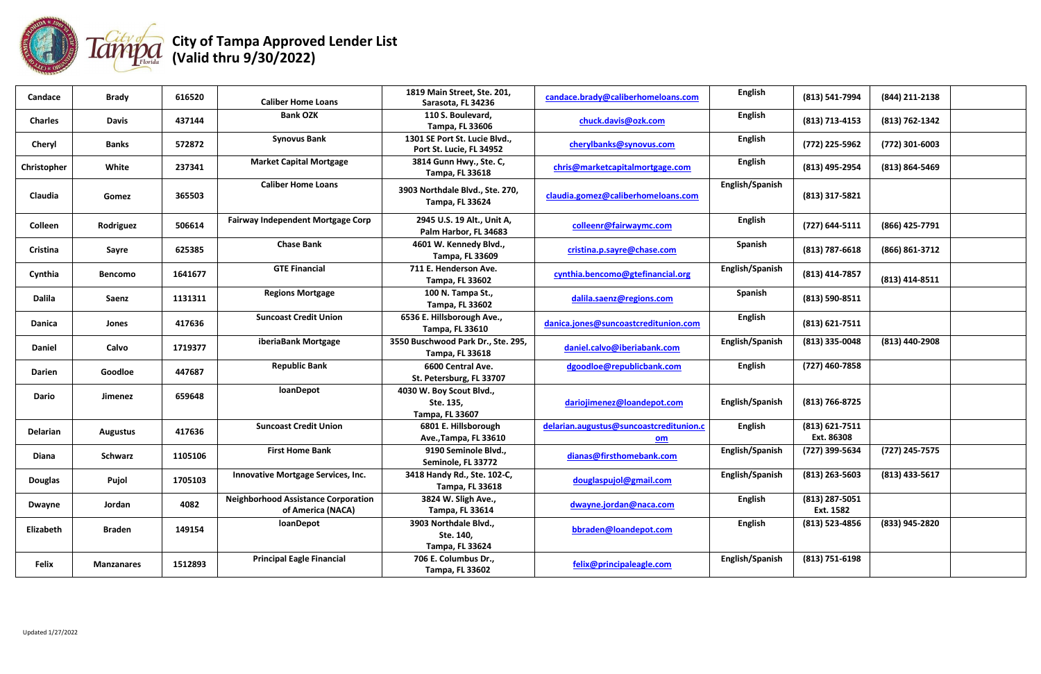

| Candace        | <b>Brady</b>      | 616520  | <b>Caliber Home Loans</b>                                       | 1819 Main Street, Ste. 201,<br>Sarasota, FL 34236               | candace.brady@caliberhomeloans.com              | <b>English</b>  | (813) 541-7994               | (844) 211-2138   |  |
|----------------|-------------------|---------|-----------------------------------------------------------------|-----------------------------------------------------------------|-------------------------------------------------|-----------------|------------------------------|------------------|--|
| <b>Charles</b> | <b>Davis</b>      | 437144  | <b>Bank OZK</b>                                                 | 110 S. Boulevard,<br><b>Tampa, FL 33606</b>                     | chuck.davis@ozk.com                             | <b>English</b>  | (813) 713-4153               | (813) 762-1342   |  |
| Cheryl         | <b>Banks</b>      | 572872  | <b>Synovus Bank</b>                                             | 1301 SE Port St. Lucie Blvd.,<br>Port St. Lucie, FL 34952       | cherylbanks@synovus.com                         | <b>English</b>  | (772) 225-5962               | (772) 301-6003   |  |
| Christopher    | White             | 237341  | <b>Market Capital Mortgage</b>                                  | 3814 Gunn Hwy., Ste. C,<br><b>Tampa, FL 33618</b>               | chris@marketcapitalmortgage.com                 | <b>English</b>  | (813) 495-2954               | (813) 864-5469   |  |
| Claudia        | Gomez             | 365503  | <b>Caliber Home Loans</b>                                       | 3903 Northdale Blvd., Ste. 270,<br><b>Tampa, FL 33624</b>       | claudia.gomez@caliberhomeloans.com              | English/Spanish | (813) 317-5821               |                  |  |
| Colleen        | Rodriguez         | 506614  | <b>Fairway Independent Mortgage Corp</b>                        | 2945 U.S. 19 Alt., Unit A,<br>Palm Harbor, FL 34683             | colleenr@fairwaymc.com                          | <b>English</b>  | $(727) 644 - 5111$           | (866) 425-7791   |  |
| Cristina       | Sayre             | 625385  | <b>Chase Bank</b>                                               | 4601 W. Kennedy Blvd.,<br>Tampa, FL 33609                       | cristina.p.sayre@chase.com                      | Spanish         | $(813) 787 - 6618$           | (866) 861-3712   |  |
| Cynthia        | <b>Bencomo</b>    | 1641677 | <b>GTE Financial</b>                                            | 711 E. Henderson Ave.<br><b>Tampa, FL 33602</b>                 | cynthia.bencomo@gtefinancial.org                | English/Spanish | (813) 414-7857               | $(813)$ 414-8511 |  |
| <b>Dalila</b>  | Saenz             | 1131311 | <b>Regions Mortgage</b>                                         | 100 N. Tampa St.,<br><b>Tampa, FL 33602</b>                     | dalila.saenz@regions.com                        | Spanish         | (813) 590-8511               |                  |  |
| <b>Danica</b>  | Jones             | 417636  | <b>Suncoast Credit Union</b>                                    | 6536 E. Hillsborough Ave.,<br><b>Tampa, FL 33610</b>            | danica.jones@suncoastcreditunion.com            | <b>English</b>  | (813) 621-7511               |                  |  |
| <b>Daniel</b>  | Calvo             | 1719377 | iberiaBank Mortgage                                             | 3550 Buschwood Park Dr., Ste. 295,<br><b>Tampa, FL 33618</b>    | daniel.calvo@iberiabank.com                     | English/Spanish | $(813)$ 335-0048             | (813) 440-2908   |  |
| <b>Darien</b>  | Goodloe           | 447687  | <b>Republic Bank</b>                                            | 6600 Central Ave.<br>St. Petersburg, FL 33707                   | dgoodloe@republicbank.com                       | <b>English</b>  | (727) 460-7858               |                  |  |
| <b>Dario</b>   | Jimenez           | 659648  | loanDepot                                                       | 4030 W. Boy Scout Blvd.,<br>Ste. 135,<br><b>Tampa, FL 33607</b> | dariojimenez@loandepot.com                      | English/Spanish | (813) 766-8725               |                  |  |
| Delarian       | <b>Augustus</b>   | 417636  | <b>Suncoast Credit Union</b>                                    | 6801 E. Hillsborough<br>Ave., Tampa, FL 33610                   | delarian.augustus@suncoastcreditunion.c<br>$om$ | <b>English</b>  | (813) 621-7511<br>Ext. 86308 |                  |  |
| Diana          | <b>Schwarz</b>    | 1105106 | <b>First Home Bank</b>                                          | 9190 Seminole Blvd.,<br>Seminole, FL 33772                      | dianas@firsthomebank.com                        | English/Spanish | (727) 399-5634               | (727) 245-7575   |  |
| <b>Douglas</b> | Pujol             | 1705103 | Innovative Mortgage Services, Inc.                              | 3418 Handy Rd., Ste. 102-C,<br><b>Tampa, FL 33618</b>           | douglaspujol@gmail.com                          | English/Spanish | $(813)$ 263-5603             | $(813)$ 433-5617 |  |
| <b>Dwayne</b>  | Jordan            | 4082    | <b>Neighborhood Assistance Corporation</b><br>of America (NACA) | 3824 W. Sligh Ave.,<br><b>Tampa, FL 33614</b>                   | dwayne.jordan@naca.com                          | <b>English</b>  | (813) 287-5051<br>Ext. 1582  |                  |  |
| Elizabeth      | <b>Braden</b>     | 149154  | loanDepot                                                       | 3903 Northdale Blvd.,<br>Ste. 140,<br><b>Tampa, FL 33624</b>    | bbraden@loandepot.com                           | <b>English</b>  | (813) 523-4856               | (833) 945-2820   |  |
| Felix          | <b>Manzanares</b> | 1512893 | <b>Principal Eagle Financial</b>                                | 706 E. Columbus Dr.,<br><b>Tampa, FL 33602</b>                  | felix@principaleagle.com                        | English/Spanish | $(813) 751 - 6198$           |                  |  |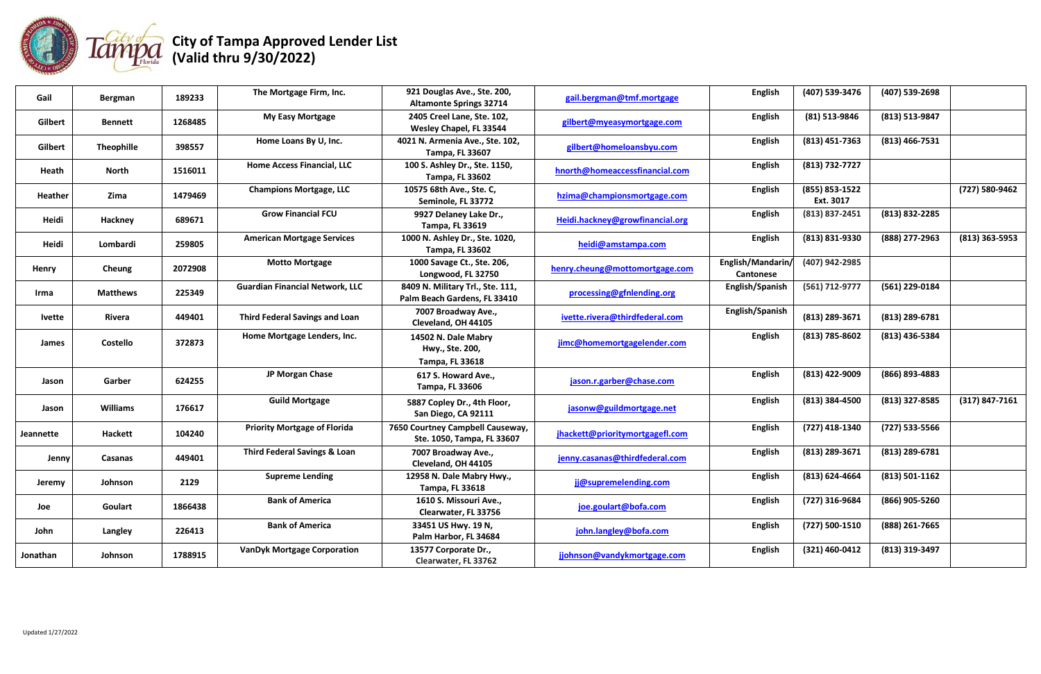

| Gail           | <b>Bergman</b>    | 189233  | The Mortgage Firm, Inc.                 | 921 Douglas Ave., Ste. 200,<br><b>Altamonte Springs 32714</b>    | gail.bergman@tmf.mortgage       | English                        | (407) 539-3476              | (407) 539-2698     |                    |
|----------------|-------------------|---------|-----------------------------------------|------------------------------------------------------------------|---------------------------------|--------------------------------|-----------------------------|--------------------|--------------------|
| Gilbert        | <b>Bennett</b>    | 1268485 | <b>My Easy Mortgage</b>                 | 2405 Creel Lane, Ste. 102,<br>Wesley Chapel, FL 33544            | gilbert@myeasymortgage.com      | <b>English</b>                 | $(81)$ 513-9846             | (813) 513-9847     |                    |
| <b>Gilbert</b> | <b>Theophille</b> | 398557  | Home Loans By U, Inc.                   | 4021 N. Armenia Ave., Ste. 102,<br>Tampa, FL 33607               | gilbert@homeloansbyu.com        | <b>English</b>                 | $(813)$ 451-7363            | $(813)$ 466-7531   |                    |
| Heath          | <b>North</b>      | 1516011 | <b>Home Access Financial, LLC</b>       | 100 S. Ashley Dr., Ste. 1150,<br><b>Tampa, FL 33602</b>          | hnorth@homeaccessfinancial.com  | <b>English</b>                 | (813) 732-7727              |                    |                    |
| Heather        | Zima              | 1479469 | <b>Champions Mortgage, LLC</b>          | 10575 68th Ave., Ste. C,<br>Seminole, FL 33772                   | hzima@championsmortgage.com     | <b>English</b>                 | (855) 853-1522<br>Ext. 3017 |                    | (727) 580-9462     |
| Heidi          | Hackney           | 689671  | <b>Grow Financial FCU</b>               | 9927 Delaney Lake Dr.,<br><b>Tampa, FL 33619</b>                 | Heidi.hackney@growfinancial.org | <b>English</b>                 | (813) 837-2451              | (813) 832-2285     |                    |
| Heidi          | Lombardi          | 259805  | <b>American Mortgage Services</b>       | 1000 N. Ashley Dr., Ste. 1020,<br><b>Tampa, FL 33602</b>         | heidi@amstampa.com              | <b>English</b>                 | $(813) 831 - 9330$          | (888) 277-2963     | $(813)$ 363-5953   |
| Henry          | Cheung            | 2072908 | <b>Motto Mortgage</b>                   | 1000 Savage Ct., Ste. 206,<br>Longwood, FL 32750                 | henry.cheung@mottomortgage.com  | English/Mandarin/<br>Cantonese | (407) 942-2985              |                    |                    |
| Irma           | <b>Matthews</b>   | 225349  | <b>Guardian Financial Network, LLC</b>  | 8409 N. Military Trl., Ste. 111,<br>Palm Beach Gardens, FL 33410 | processing@gfnlending.org       | English/Spanish                | (561) 712-9777              | (561) 229-0184     |                    |
| <b>Ivette</b>  | Rivera            | 449401  | <b>Third Federal Savings and Loan</b>   | 7007 Broadway Ave.,<br>Cleveland, OH 44105                       | ivette.rivera@thirdfederal.com  | English/Spanish                | (813) 289-3671              | (813) 289-6781     |                    |
| James          | <b>Costello</b>   | 372873  | Home Mortgage Lenders, Inc.             | 14502 N. Dale Mabry<br>Hwy., Ste. 200,                           | jimc@homemortgagelender.com     | English                        | (813) 785-8602              | (813) 436-5384     |                    |
|                |                   |         |                                         | Tampa, FL 33618                                                  |                                 |                                |                             |                    |                    |
| Jason          | Garber            | 624255  | JP Morgan Chase                         | 617 S. Howard Ave.,<br><b>Tampa, FL 33606</b>                    | jason.r.garber@chase.com        | English                        | (813) 422-9009              | (866) 893-4883     |                    |
| Jason          | <b>Williams</b>   | 176617  | <b>Guild Mortgage</b>                   | 5887 Copley Dr., 4th Floor,<br>San Diego, CA 92111               | jasonw@guildmortgage.net        | <b>English</b>                 | $(813)$ 384-4500            | $(813)$ 327-8585   | $(317) 847 - 7161$ |
| Jeannette      | <b>Hackett</b>    | 104240  | <b>Priority Mortgage of Florida</b>     | 7650 Courtney Campbell Causeway,<br>Ste. 1050, Tampa, FL 33607   | jhackett@prioritymortgagefl.com | <b>English</b>                 | (727) 418-1340              | (727) 533-5566     |                    |
| Jenny          | Casanas           | 449401  | <b>Third Federal Savings &amp; Loan</b> | 7007 Broadway Ave.,<br>Cleveland, OH 44105                       | jenny.casanas@thirdfederal.com  | <b>English</b>                 | (813) 289-3671              | (813) 289-6781     |                    |
| Jeremy         | Johnson           | 2129    | <b>Supreme Lending</b>                  | 12958 N. Dale Mabry Hwy.,<br><b>Tampa, FL 33618</b>              | jj@supremelending.com           | <b>English</b>                 | (813) 624-4664              | $(813) 501 - 1162$ |                    |
| Joe            | Goulart           | 1866438 | <b>Bank of America</b>                  | 1610 S. Missouri Ave.,<br>Clearwater, FL 33756                   | joe.goulart@bofa.com            | <b>English</b>                 | (727) 316-9684              | (866) 905-5260     |                    |
| John           | Langley           | 226413  | <b>Bank of America</b>                  | 33451 US Hwy. 19 N,<br>Palm Harbor, FL 34684                     | john.langley@bofa.com           | <b>English</b>                 | (727) 500-1510              | (888) 261-7665     |                    |
| Jonathan       | Johnson           | 1788915 | <b>VanDyk Mortgage Corporation</b>      | 13577 Corporate Dr.,<br>Clearwater, FL 33762                     | jjohnson@vandykmortgage.com     | <b>English</b>                 | (321) 460-0412              | (813) 319-3497     |                    |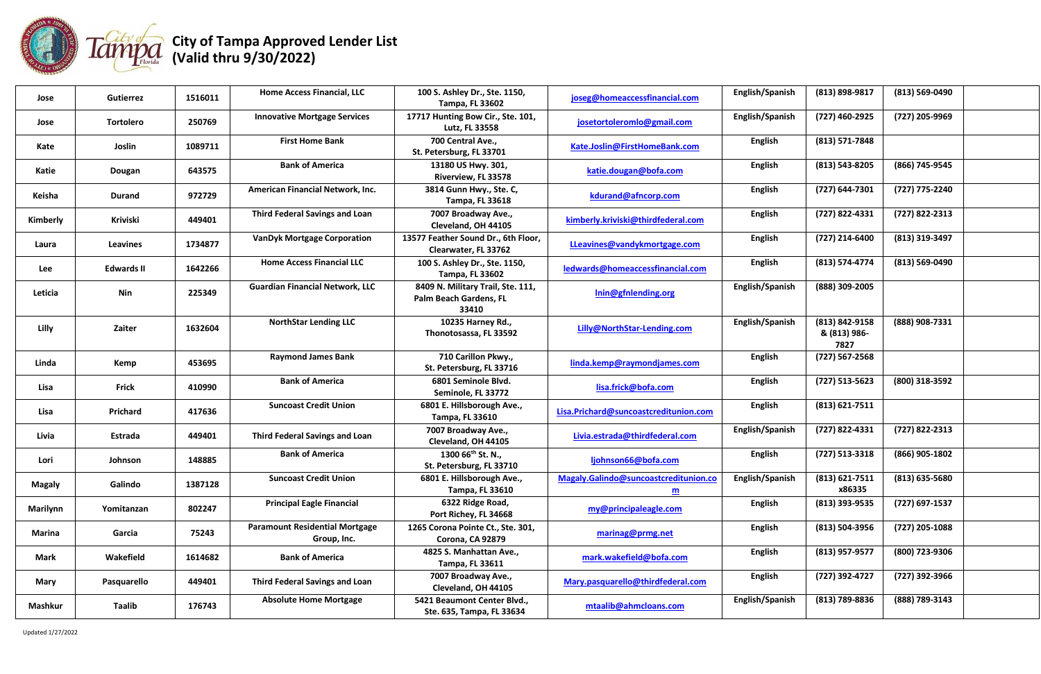

| Jose            | <b>Gutierrez</b>  | 1516011 | <b>Home Access Financial, LLC</b>                    | 100 S. Ashley Dr., Ste. 1150,<br><b>Tampa, FL 33602</b>              | joseg@homeaccessfinancial.com                         | English/Spanish | (813) 898-9817                         | (813) 569-0490     |
|-----------------|-------------------|---------|------------------------------------------------------|----------------------------------------------------------------------|-------------------------------------------------------|-----------------|----------------------------------------|--------------------|
| Jose            | <b>Tortolero</b>  | 250769  | <b>Innovative Mortgage Services</b>                  | 17717 Hunting Bow Cir., Ste. 101,<br>Lutz, FL 33558                  | josetortoleromlo@gmail.com                            | English/Spanish | (727) 460-2925                         | (727) 205-9969     |
| Kate            | Joslin            | 1089711 | <b>First Home Bank</b>                               | 700 Central Ave.,<br>St. Petersburg, FL 33701                        | Kate.Joslin@FirstHomeBank.com                         | <b>English</b>  | $(813) 571 - 7848$                     |                    |
| Katie           | Dougan            | 643575  | <b>Bank of America</b>                               | 13180 US Hwy. 301,<br>Riverview, FL 33578                            | katie.dougan@bofa.com                                 | <b>English</b>  | (813) 543-8205                         | (866) 745-9545     |
| Keisha          | <b>Durand</b>     | 972729  | American Financial Network, Inc.                     | 3814 Gunn Hwy., Ste. C,<br><b>Tampa, FL 33618</b>                    | kdurand@afncorp.com                                   | <b>English</b>  | (727) 644-7301                         | (727) 775-2240     |
| Kimberly        | Kriviski          | 449401  | <b>Third Federal Savings and Loan</b>                | 7007 Broadway Ave.,<br>Cleveland, OH 44105                           | kimberly.kriviski@thirdfederal.com                    | <b>English</b>  | (727) 822-4331                         | (727) 822-2313     |
| Laura           | <b>Leavines</b>   | 1734877 | <b>VanDyk Mortgage Corporation</b>                   | 13577 Feather Sound Dr., 6th Floor,<br>Clearwater, FL 33762          | LLeavines@vandykmortgage.com                          | <b>English</b>  | (727) 214-6400                         | (813) 319-3497     |
| Lee             | <b>Edwards II</b> | 1642266 | <b>Home Access Financial LLC</b>                     | 100 S. Ashley Dr., Ste. 1150,<br><b>Tampa, FL 33602</b>              | ledwards@homeaccessfinancial.com                      | <b>English</b>  | (813) 574-4774                         | $(813) 569 - 0490$ |
| Leticia         | Nin               | 225349  | <b>Guardian Financial Network, LLC</b>               | 8409 N. Military Trail, Ste. 111,<br>Palm Beach Gardens, FL<br>33410 | Inin@gfnlending.org                                   | English/Spanish | (888) 309-2005                         |                    |
| Lilly           | Zaiter            | 1632604 | <b>NorthStar Lending LLC</b>                         | 10235 Harney Rd.,<br>Thonotosassa, FL 33592                          | Lilly@NorthStar-Lending.com                           | English/Spanish | (813) 842-9158<br>& (813) 986-<br>7827 | (888) 908-7331     |
| Linda           | Kemp              | 453695  | <b>Raymond James Bank</b>                            | 710 Carillon Pkwy.,<br>St. Petersburg, FL 33716                      | linda.kemp@raymondjames.com                           | <b>English</b>  | $(727) 567 - 2568$                     |                    |
| Lisa            | <b>Frick</b>      | 410990  | <b>Bank of America</b>                               | 6801 Seminole Blvd.<br>Seminole, FL 33772                            | lisa.frick@bofa.com                                   | <b>English</b>  | (727) 513-5623                         | (800) 318-3592     |
| Lisa            | Prichard          | 417636  | <b>Suncoast Credit Union</b>                         | 6801 E. Hillsborough Ave.,<br><b>Tampa, FL 33610</b>                 | Lisa.Prichard@suncoastcreditunion.com                 | <b>English</b>  | $(813) 621 - 7511$                     |                    |
| Livia           | Estrada           | 449401  | <b>Third Federal Savings and Loan</b>                | 7007 Broadway Ave.,<br>Cleveland, OH 44105                           | Livia.estrada@thirdfederal.com                        | English/Spanish | (727) 822-4331                         | (727) 822-2313     |
| Lori            | Johnson           | 148885  | <b>Bank of America</b>                               | 1300 66 <sup>th</sup> St. N.,<br>St. Petersburg, FL 33710            | ljohnson66@bofa.com                                   | <b>English</b>  | $(727) 513 - 3318$                     | (866) 905-1802     |
| <b>Magaly</b>   | Galindo           | 1387128 | <b>Suncoast Credit Union</b>                         | 6801 E. Hillsborough Ave.,<br><b>Tampa, FL 33610</b>                 | Magaly.Galindo@suncoastcreditunion.co<br>$\mathbf{m}$ | English/Spanish | (813) 621-7511<br>x86335               | $(813) 635 - 5680$ |
| <b>Marilynn</b> | Yomitanzan        | 802247  | <b>Principal Eagle Financial</b>                     | 6322 Ridge Road,<br>Port Richey, FL 34668                            | my@principaleagle.com                                 | <b>English</b>  | $(813)$ 393-9535                       | (727) 697-1537     |
| Marina          | Garcia            | 75243   | <b>Paramount Residential Mortgage</b><br>Group, Inc. | 1265 Corona Pointe Ct., Ste. 301,<br>Corona, CA 92879                | marinag@prmg.net                                      | <b>English</b>  | (813) 504-3956                         | (727) 205-1088     |
| <b>Mark</b>     | Wakefield         | 1614682 | <b>Bank of America</b>                               | 4825 S. Manhattan Ave.,<br>Tampa, FL 33611                           | mark.wakefield@bofa.com                               | <b>English</b>  | (813) 957-9577                         | (800) 723-9306     |
| Mary            | Pasquarello       | 449401  | <b>Third Federal Savings and Loan</b>                | 7007 Broadway Ave.,<br>Cleveland, OH 44105                           | Mary.pasquarello@thirdfederal.com                     | <b>English</b>  | (727) 392-4727                         | (727) 392-3966     |
| Mashkur         | <b>Taalib</b>     | 176743  | <b>Absolute Home Mortgage</b>                        | 5421 Beaumont Center Blvd.,<br>Ste. 635, Tampa, FL 33634             | mtaalib@ahmcloans.com                                 | English/Spanish | (813) 789-8836                         | (888) 789-3143     |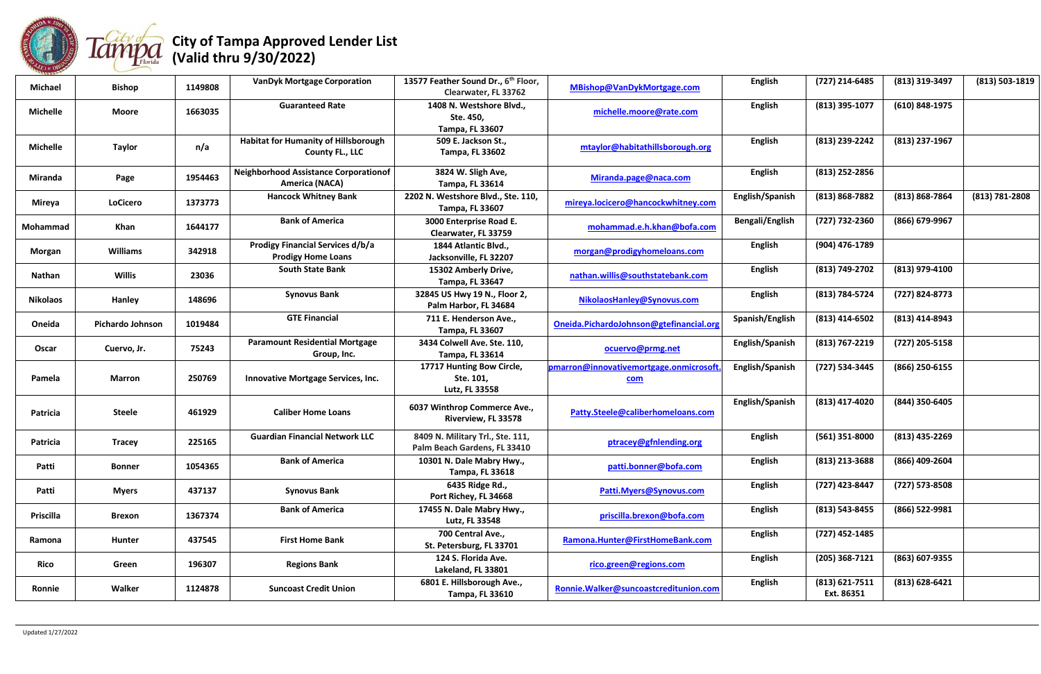

| <b>Michael</b>   | <b>Bishop</b>    | 1149808 | <b>VanDyk Mortgage Corporation</b>                                    | 13577 Feather Sound Dr., 6th Floor,<br>Clearwater, FL 33762      | MBishop@VanDykMortgage.com                            | <b>English</b>  | (727) 214-6485                   | (813) 319-3497     | (813) 503-1819 |
|------------------|------------------|---------|-----------------------------------------------------------------------|------------------------------------------------------------------|-------------------------------------------------------|-----------------|----------------------------------|--------------------|----------------|
| <b>Michelle</b>  | <b>Moore</b>     | 1663035 | <b>Guaranteed Rate</b>                                                | 1408 N. Westshore Blvd.,<br>Ste. 450,<br><b>Tampa, FL 33607</b>  | michelle.moore@rate.com                               | <b>English</b>  | (813) 395-1077                   | (610) 848-1975     |                |
| <b>Michelle</b>  | <b>Taylor</b>    | n/a     | <b>Habitat for Humanity of Hillsborough</b><br><b>County FL., LLC</b> | 509 E. Jackson St.,<br><b>Tampa, FL 33602</b>                    | mtaylor@habitathillsborough.org                       | <b>English</b>  | (813) 239-2242                   | (813) 237-1967     |                |
| Miranda          | Page             | 1954463 | <b>Neighborhood Assistance Corporationof</b><br><b>America (NACA)</b> | 3824 W. Sligh Ave,<br><b>Tampa, FL 33614</b>                     | Miranda.page@naca.com                                 | <b>English</b>  | (813) 252-2856                   |                    |                |
| Mireya           | <b>LoCicero</b>  | 1373773 | <b>Hancock Whitney Bank</b>                                           | 2202 N. Westshore Blvd., Ste. 110,<br><b>Tampa, FL 33607</b>     | mireya.locicero@hancockwhitney.com                    | English/Spanish | $(813) 868 - 7882$               | (813) 868-7864     | (813) 781-2808 |
| Mohammad         | Khan             | 1644177 | <b>Bank of America</b>                                                | 3000 Enterprise Road E.<br>Clearwater, FL 33759                  | mohammad.e.h.khan@bofa.com                            | Bengali/English | (727) 732-2360                   | (866) 679-9967     |                |
| Morgan           | <b>Williams</b>  | 342918  | <b>Prodigy Financial Services d/b/a</b><br><b>Prodigy Home Loans</b>  | 1844 Atlantic Blvd.,<br>Jacksonville, FL 32207                   | morgan@prodigyhomeloans.com                           | <b>English</b>  | (904) 476-1789                   |                    |                |
| Nathan           | <b>Willis</b>    | 23036   | <b>South State Bank</b>                                               | 15302 Amberly Drive,<br>Tampa, FL 33647                          | nathan.willis@southstatebank.com                      | <b>English</b>  | (813) 749-2702                   | (813) 979-4100     |                |
| <b>Nikolaos</b>  | Hanley           | 148696  | <b>Synovus Bank</b>                                                   | 32845 US Hwy 19 N., Floor 2,<br>Palm Harbor, FL 34684            | NikolaosHanley@Synovus.com                            | <b>English</b>  | (813) 784-5724                   | (727) 824-8773     |                |
| Oneida           | Pichardo Johnson | 1019484 | <b>GTE Financial</b>                                                  | 711 E. Henderson Ave.,<br><b>Tampa, FL 33607</b>                 | Oneida.PichardoJohnson@gtefinancial.org               | Spanish/English | $(813)$ 414-6502                 | $(813)$ 414-8943   |                |
| Oscar            | Cuervo, Jr.      | 75243   | <b>Paramount Residential Mortgage</b><br>Group, Inc.                  | 3434 Colwell Ave. Ste. 110,<br>Tampa, FL 33614                   | ocuervo@prmg.net                                      | English/Spanish | (813) 767-2219                   | (727) 205-5158     |                |
| Pamela           | <b>Marron</b>    | 250769  | Innovative Mortgage Services, Inc.                                    | 17717 Hunting Bow Circle,<br>Ste. 101,<br>Lutz, FL 33558         | pmarron@innovativemortgage.onmicrosoft.<br><u>com</u> | English/Spanish | (727) 534-3445                   | (866) 250-6155     |                |
| <b>Patricia</b>  | <b>Steele</b>    | 461929  | <b>Caliber Home Loans</b>                                             | 6037 Winthrop Commerce Ave.,<br>Riverview, FL 33578              | Patty.Steele@caliberhomeloans.com                     | English/Spanish | (813) 417-4020                   | (844) 350-6405     |                |
| Patricia         | <b>Tracey</b>    | 225165  | <b>Guardian Financial Network LLC</b>                                 | 8409 N. Military Trl., Ste. 111,<br>Palm Beach Gardens, FL 33410 | ptracey@gfnlending.org                                | <b>English</b>  | $(561)$ 351-8000                 | $(813)$ 435-2269   |                |
| Patti            | <b>Bonner</b>    | 1054365 | <b>Bank of America</b>                                                | 10301 N. Dale Mabry Hwy.,<br><b>Tampa, FL 33618</b>              | patti.bonner@bofa.com                                 | <b>English</b>  | (813) 213-3688                   | (866) 409-2604     |                |
| Patti            | <b>Myers</b>     | 437137  | <b>Synovus Bank</b>                                                   | 6435 Ridge Rd.,<br>Port Richey, FL 34668                         | Patti.Myers@Synovus.com                               | <b>English</b>  | (727) 423-8447                   | (727) 573-8508     |                |
| <b>Priscilla</b> | <b>Brexon</b>    | 1367374 | <b>Bank of America</b>                                                | 17455 N. Dale Mabry Hwy.,<br>Lutz, FL 33548                      | priscilla.brexon@bofa.com                             | <b>English</b>  | (813) 543-8455                   | (866) 522-9981     |                |
| Ramona           | Hunter           | 437545  | <b>First Home Bank</b>                                                | 700 Central Ave.,<br>St. Petersburg, FL 33701                    | Ramona.Hunter@FirstHomeBank.com                       | <b>English</b>  | (727) 452-1485                   |                    |                |
| Rico             | Green            | 196307  | <b>Regions Bank</b>                                                   | 124 S. Florida Ave.<br>Lakeland, FL 33801                        | rico.green@regions.com                                | <b>English</b>  | $(205)$ 368-7121                 | (863) 607-9355     |                |
| Ronnie           | Walker           | 1124878 | <b>Suncoast Credit Union</b>                                          | 6801 E. Hillsborough Ave.,<br><b>Tampa, FL 33610</b>             | Ronnie.Walker@suncoastcreditunion.com                 | <b>English</b>  | $(813) 621 - 7511$<br>Ext. 86351 | $(813) 628 - 6421$ |                |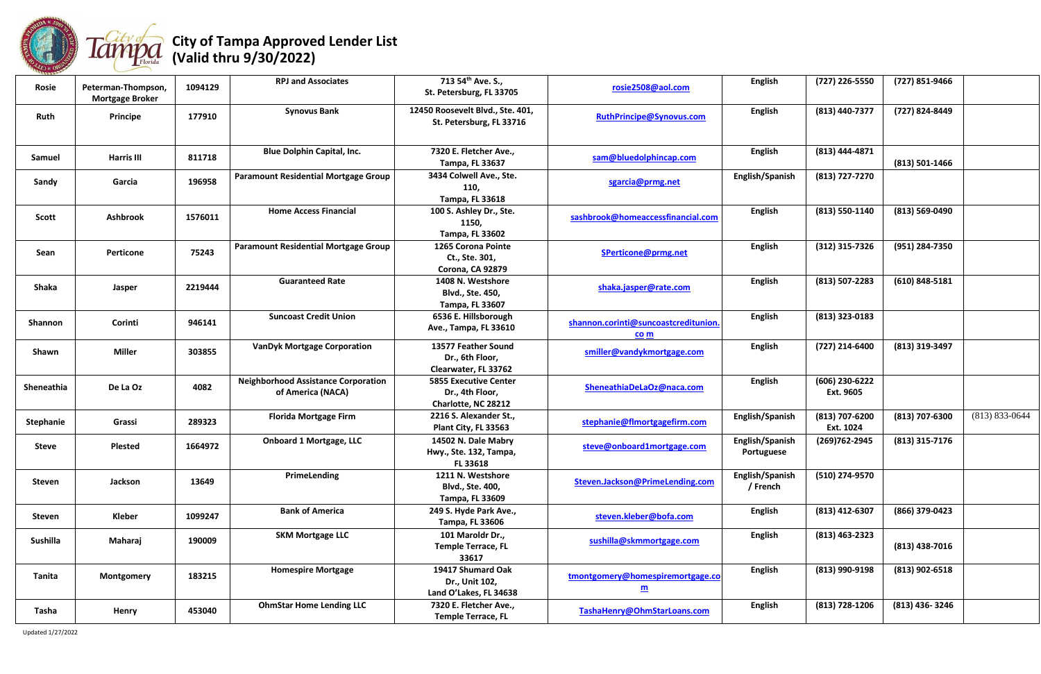

| 111222<br>Rosie  | Peterman-Thompson,<br><b>Mortgage Broker</b> | 1094129 | <b>RPJ and Associates</b>                                       | 713 54 <sup>th</sup> Ave. S.,<br>St. Petersburg, FL 33705              | rosie2508@aol.com                                            | <b>English</b>                | (727) 226-5550              | (727) 851-9466     |                    |
|------------------|----------------------------------------------|---------|-----------------------------------------------------------------|------------------------------------------------------------------------|--------------------------------------------------------------|-------------------------------|-----------------------------|--------------------|--------------------|
| Ruth             | <b>Principe</b>                              | 177910  | <b>Synovus Bank</b>                                             | 12450 Roosevelt Blvd., Ste. 401,<br>St. Petersburg, FL 33716           | RuthPrincipe@Synovus.com                                     | <b>English</b>                | (813) 440-7377              | (727) 824-8449     |                    |
| Samuel           | <b>Harris III</b>                            | 811718  | <b>Blue Dolphin Capital, Inc.</b>                               | 7320 E. Fletcher Ave.,<br><b>Tampa, FL 33637</b>                       | sam@bluedolphincap.com                                       | <b>English</b>                | (813) 444-4871              | $(813) 501 - 1466$ |                    |
| Sandy            | Garcia                                       | 196958  | <b>Paramount Residential Mortgage Group</b>                     | 3434 Colwell Ave., Ste.<br>110,<br><b>Tampa, FL 33618</b>              | sgarcia@prmg.net                                             | English/Spanish               | (813) 727-7270              |                    |                    |
| Scott            | <b>Ashbrook</b>                              | 1576011 | <b>Home Access Financial</b>                                    | 100 S. Ashley Dr., Ste.<br>1150,<br><b>Tampa, FL 33602</b>             | sashbrook@homeaccessfinancial.com                            | <b>English</b>                | $(813) 550-1140$            | $(813) 569 - 0490$ |                    |
| Sean             | Perticone                                    | 75243   | <b>Paramount Residential Mortgage Group</b>                     | 1265 Corona Pointe<br>Ct., Ste. 301,<br>Corona, CA 92879               | SPerticone@prmg.net                                          | <b>English</b>                | $(312)$ 315-7326            | (951) 284-7350     |                    |
| <b>Shaka</b>     | Jasper                                       | 2219444 | <b>Guaranteed Rate</b>                                          | 1408 N. Westshore<br>Blvd., Ste. 450,<br><b>Tampa, FL 33607</b>        | shaka.jasper@rate.com                                        | <b>English</b>                | $(813) 507 - 2283$          | $(610)$ 848-5181   |                    |
| Shannon          | Corinti                                      | 946141  | <b>Suncoast Credit Union</b>                                    | 6536 E. Hillsborough<br>Ave., Tampa, FL 33610                          | shannon.corinti@suncoastcreditunion.<br>co m                 | <b>English</b>                | (813) 323-0183              |                    |                    |
| Shawn            | <b>Miller</b>                                | 303855  | <b>VanDyk Mortgage Corporation</b>                              | 13577 Feather Sound<br>Dr., 6th Floor,<br>Clearwater, FL 33762         | smiller@vandykmortgage.com                                   | <b>English</b>                | (727) 214-6400              | (813) 319-3497     |                    |
| Sheneathia       | De La Oz                                     | 4082    | <b>Neighborhood Assistance Corporation</b><br>of America (NACA) | <b>5855 Executive Center</b><br>Dr., 4th Floor,<br>Charlotte, NC 28212 | SheneathiaDeLaOz@naca.com                                    | <b>English</b>                | (606) 230-6222<br>Ext. 9605 |                    |                    |
| <b>Stephanie</b> | Grassi                                       | 289323  | <b>Florida Mortgage Firm</b>                                    | 2216 S. Alexander St.,<br>Plant City, FL 33563                         | stephanie@flmortgagefirm.com                                 | English/Spanish               | (813) 707-6200<br>Ext. 1024 | (813) 707-6300     | $(813) 833 - 0644$ |
| <b>Steve</b>     | <b>Plested</b>                               | 1664972 | <b>Onboard 1 Mortgage, LLC</b>                                  | 14502 N. Dale Mabry<br>Hwy., Ste. 132, Tampa,<br><b>FL 33618</b>       | steve@onboard1mortgage.com                                   | English/Spanish<br>Portuguese | (269) 762-2945              | $(813)$ 315-7176   |                    |
| <b>Steven</b>    | Jackson                                      | 13649   | PrimeLending                                                    | 1211 N. Westshore<br>Blvd., Ste. 400,<br><b>Tampa, FL 33609</b>        | Steven.Jackson@PrimeLending.com                              | English/Spanish<br>/ French   | (510) 274-9570              |                    |                    |
| Steven           | Kleber                                       | 1099247 | <b>Bank of America</b>                                          | 249 S. Hyde Park Ave.,<br><b>Tampa, FL 33606</b>                       | steven.kleber@bofa.com                                       | <b>English</b>                | (813) 412-6307              | (866) 379-0423     |                    |
| Sushilla         | Maharaj                                      | 190009  | <b>SKM Mortgage LLC</b>                                         | 101 Maroldr Dr.,<br><b>Temple Terrace, FL</b><br>33617                 | sushilla@skmmortgage.com                                     | <b>English</b>                | $(813)$ 463-2323            | $(813)$ 438-7016   |                    |
| Tanita           | Montgomery                                   | 183215  | <b>Homespire Mortgage</b>                                       | 19417 Shumard Oak<br>Dr., Unit 102,<br>Land O'Lakes, FL 34638          | tmontgomery@homespiremortgage.co<br>$\underline{\mathbf{m}}$ | <b>English</b>                | (813) 990-9198              | $(813)$ 902-6518   |                    |
| Tasha            | <b>Henry</b>                                 | 453040  | <b>OhmStar Home Lending LLC</b>                                 | 7320 E. Fletcher Ave.,<br><b>Temple Terrace, FL</b>                    | TashaHenry@OhmStarLoans.com                                  | <b>English</b>                | (813) 728-1206              | (813) 436-3246     |                    |